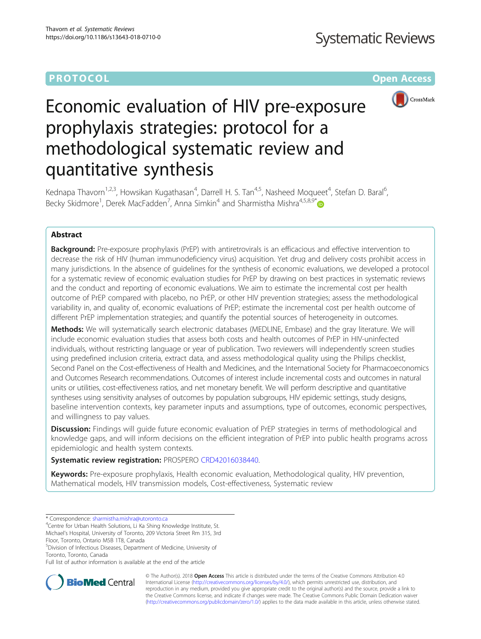# **PROTOCOL CONSUMING THE OPEN ACCESS**



# Economic evaluation of HIV pre-exposure prophylaxis strategies: protocol for a methodological systematic review and quantitative synthesis

Kednapa Thavorn<sup>1,2,3</sup>, Howsikan Kugathasan<sup>4</sup>, Darrell H. S. Tan<sup>4,5</sup>, Nasheed Moqueet<sup>4</sup>, Stefan D. Baral<sup>6</sup> , Becky Skidmore<sup>1</sup>, Derek MacFadden<sup>7</sup>, Anna Simkin<sup>4</sup> and Sharmistha Mishra<sup>4,5,8,9\*</sup>

# Abstract

**Background:** Pre-exposure prophylaxis (PrEP) with antiretrovirals is an efficacious and effective intervention to decrease the risk of HIV (human immunodeficiency virus) acquisition. Yet drug and delivery costs prohibit access in many jurisdictions. In the absence of guidelines for the synthesis of economic evaluations, we developed a protocol for a systematic review of economic evaluation studies for PrEP by drawing on best practices in systematic reviews and the conduct and reporting of economic evaluations. We aim to estimate the incremental cost per health outcome of PrEP compared with placebo, no PrEP, or other HIV prevention strategies; assess the methodological variability in, and quality of, economic evaluations of PrEP; estimate the incremental cost per health outcome of different PrEP implementation strategies; and quantify the potential sources of heterogeneity in outcomes.

Methods: We will systematically search electronic databases (MEDLINE, Embase) and the gray literature. We will include economic evaluation studies that assess both costs and health outcomes of PrEP in HIV-uninfected individuals, without restricting language or year of publication. Two reviewers will independently screen studies using predefined inclusion criteria, extract data, and assess methodological quality using the Philips checklist, Second Panel on the Cost-effectiveness of Health and Medicines, and the International Society for Pharmacoeconomics and Outcomes Research recommendations. Outcomes of interest include incremental costs and outcomes in natural units or utilities, cost-effectiveness ratios, and net monetary benefit. We will perform descriptive and quantitative syntheses using sensitivity analyses of outcomes by population subgroups, HIV epidemic settings, study designs, baseline intervention contexts, key parameter inputs and assumptions, type of outcomes, economic perspectives, and willingness to pay values.

**Discussion:** Findings will guide future economic evaluation of PrEP strategies in terms of methodological and knowledge gaps, and will inform decisions on the efficient integration of PrEP into public health programs across epidemiologic and health system contexts.

# Systematic review registration: PROSPERO [CRD42016038440](http://www.crd.york.ac.uk/PROSPERO/display_record.php?ID=CRD42016038440).

Keywords: Pre-exposure prophylaxis, Health economic evaluation, Methodological quality, HIV prevention, Mathematical models, HIV transmission models, Cost-effectiveness, Systematic review

\* Correspondence: [sharmistha.mishra@utoronto.ca](mailto:sharmistha.mishra@utoronto.ca) <sup>4</sup>

<sup>4</sup>Centre for Urban Health Solutions, Li Ka Shing Knowledge Institute, St.

Michael's Hospital, University of Toronto, 209 Victoria Street Rm 315, 3rd Floor, Toronto, Ontario M5B 1T8, Canada

5 Division of Infectious Diseases, Department of Medicine, University of Toronto, Toronto, Canada

Full list of author information is available at the end of the article



© The Author(s). 2018 Open Access This article is distributed under the terms of the Creative Commons Attribution 4.0 International License [\(http://creativecommons.org/licenses/by/4.0/](http://creativecommons.org/licenses/by/4.0/)), which permits unrestricted use, distribution, and reproduction in any medium, provided you give appropriate credit to the original author(s) and the source, provide a link to the Creative Commons license, and indicate if changes were made. The Creative Commons Public Domain Dedication waiver [\(http://creativecommons.org/publicdomain/zero/1.0/](http://creativecommons.org/publicdomain/zero/1.0/)) applies to the data made available in this article, unless otherwise stated.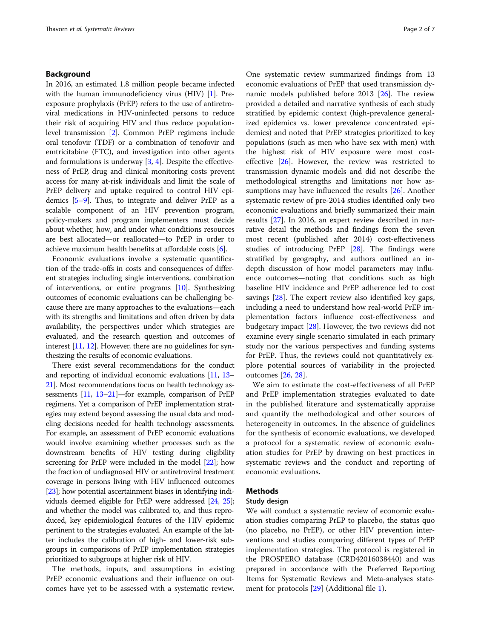## Background

In 2016, an estimated 1.8 million people became infected with the human immunodeficiency virus (HIV) [[1](#page-5-0)]. Preexposure prophylaxis (PrEP) refers to the use of antiretroviral medications in HIV-uninfected persons to reduce their risk of acquiring HIV and thus reduce populationlevel transmission [\[2\]](#page-5-0). Common PrEP regimens include oral tenofovir (TDF) or a combination of tenofovir and emtricitabine (FTC), and investigation into other agents and formulations is underway [[3](#page-5-0), [4](#page-5-0)]. Despite the effectiveness of PrEP, drug and clinical monitoring costs prevent access for many at-risk individuals and limit the scale of PrEP delivery and uptake required to control HIV epidemics [\[5](#page-5-0)–[9\]](#page-6-0). Thus, to integrate and deliver PrEP as a scalable component of an HIV prevention program, policy-makers and program implementers must decide about whether, how, and under what conditions resources are best allocated—or reallocated—to PrEP in order to achieve maximum health benefits at affordable costs [[6](#page-5-0)].

Economic evaluations involve a systematic quantification of the trade-offs in costs and consequences of different strategies including single interventions, combination of interventions, or entire programs [\[10\]](#page-6-0). Synthesizing outcomes of economic evaluations can be challenging because there are many approaches to the evaluations—each with its strengths and limitations and often driven by data availability, the perspectives under which strategies are evaluated, and the research question and outcomes of interest [\[11](#page-6-0), [12\]](#page-6-0). However, there are no guidelines for synthesizing the results of economic evaluations.

There exist several recommendations for the conduct and reporting of individual economic evaluations [\[11,](#page-6-0) [13](#page-6-0)– [21](#page-6-0)]. Most recommendations focus on health technology assessments [\[11](#page-6-0), [13](#page-6-0)–[21](#page-6-0)]—for example, comparison of PrEP regimens. Yet a comparison of PrEP implementation strategies may extend beyond assessing the usual data and modeling decisions needed for health technology assessments. For example, an assessment of PrEP economic evaluations would involve examining whether processes such as the downstream benefits of HIV testing during eligibility screening for PrEP were included in the model [\[22\]](#page-6-0); how the fraction of undiagnosed HIV or antiretroviral treatment coverage in persons living with HIV influenced outcomes [[23](#page-6-0)]; how potential ascertainment biases in identifying individuals deemed eligible for PrEP were addressed [[24,](#page-6-0) [25](#page-6-0)]; and whether the model was calibrated to, and thus reproduced, key epidemiological features of the HIV epidemic pertinent to the strategies evaluated. An example of the latter includes the calibration of high- and lower-risk subgroups in comparisons of PrEP implementation strategies prioritized to subgroups at higher risk of HIV.

The methods, inputs, and assumptions in existing PrEP economic evaluations and their influence on outcomes have yet to be assessed with a systematic review.

One systematic review summarized findings from 13 economic evaluations of PrEP that used transmission dynamic models published before 2013 [\[26\]](#page-6-0). The review provided a detailed and narrative synthesis of each study stratified by epidemic context (high-prevalence generalized epidemics vs. lower prevalence concentrated epidemics) and noted that PrEP strategies prioritized to key populations (such as men who have sex with men) with the highest risk of HIV exposure were most costeffective [[26](#page-6-0)]. However, the review was restricted to transmission dynamic models and did not describe the methodological strengths and limitations nor how as-sumptions may have influenced the results [\[26](#page-6-0)]. Another systematic review of pre-2014 studies identified only two economic evaluations and briefly summarized their main results [\[27](#page-6-0)]. In 2016, an expert review described in narrative detail the methods and findings from the seven most recent (published after 2014) cost-effectiveness studies of introducing PrEP [[28\]](#page-6-0). The findings were stratified by geography, and authors outlined an indepth discussion of how model parameters may influence outcomes—noting that conditions such as high baseline HIV incidence and PrEP adherence led to cost savings [[28](#page-6-0)]. The expert review also identified key gaps, including a need to understand how real-world PrEP implementation factors influence cost-effectiveness and budgetary impact [\[28](#page-6-0)]. However, the two reviews did not examine every single scenario simulated in each primary study nor the various perspectives and funding systems for PrEP. Thus, the reviews could not quantitatively explore potential sources of variability in the projected outcomes [\[26](#page-6-0), [28](#page-6-0)].

We aim to estimate the cost-effectiveness of all PrEP and PrEP implementation strategies evaluated to date in the published literature and systematically appraise and quantify the methodological and other sources of heterogeneity in outcomes. In the absence of guidelines for the synthesis of economic evaluations, we developed a protocol for a systematic review of economic evaluation studies for PrEP by drawing on best practices in systematic reviews and the conduct and reporting of economic evaluations.

## Methods

## Study design

We will conduct a systematic review of economic evaluation studies comparing PrEP to placebo, the status quo (no placebo, no PrEP), or other HIV prevention interventions and studies comparing different types of PrEP implementation strategies. The protocol is registered in the PROSPERO database (CRD42016038440) and was prepared in accordance with the Preferred Reporting Items for Systematic Reviews and Meta-analyses statement for protocols [[29](#page-6-0)] (Additional file [1](#page-5-0)).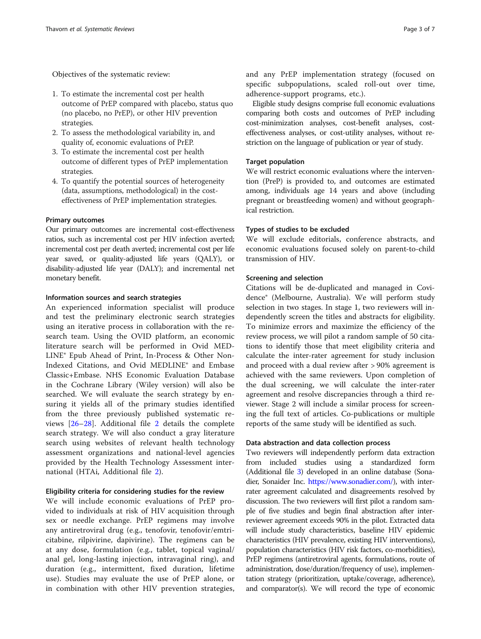Objectives of the systematic review:

- 1. To estimate the incremental cost per health outcome of PrEP compared with placebo, status quo (no placebo, no PrEP), or other HIV prevention strategies.
- 2. To assess the methodological variability in, and quality of, economic evaluations of PrEP.
- 3. To estimate the incremental cost per health outcome of different types of PrEP implementation strategies.
- 4. To quantify the potential sources of heterogeneity (data, assumptions, methodological) in the costeffectiveness of PrEP implementation strategies.

## Primary outcomes

Our primary outcomes are incremental cost-effectiveness ratios, such as incremental cost per HIV infection averted; incremental cost per death averted; incremental cost per life year saved, or quality-adjusted life years (QALY), or disability-adjusted life year (DALY); and incremental net monetary benefit.

## Information sources and search strategies

An experienced information specialist will produce and test the preliminary electronic search strategies using an iterative process in collaboration with the research team. Using the OVID platform, an economic literature search will be performed in Ovid MED-LINE® Epub Ahead of Print, In-Process & Other Non-Indexed Citations, and Ovid MEDLINE® and Embase Classic+Embase. NHS Economic Evaluation Database in the Cochrane Library (Wiley version) will also be searched. We will evaluate the search strategy by ensuring it yields all of the primary studies identified from the three previously published systematic reviews [[26](#page-6-0)–[28\]](#page-6-0). Additional file [2](#page-5-0) details the complete search strategy. We will also conduct a gray literature search using websites of relevant health technology assessment organizations and national-level agencies provided by the Health Technology Assessment international (HTAi, Additional file [2\)](#page-5-0).

## Eligibility criteria for considering studies for the review

We will include economic evaluations of PrEP provided to individuals at risk of HIV acquisition through sex or needle exchange. PrEP regimens may involve any antiretroviral drug (e.g., tenofovir, tenofovir/emtricitabine, rilpivirine, dapivirine). The regimens can be at any dose, formulation (e.g., tablet, topical vaginal/ anal gel, long-lasting injection, intravaginal ring), and duration (e.g., intermittent, fixed duration, lifetime use). Studies may evaluate the use of PrEP alone, or in combination with other HIV prevention strategies, and any PrEP implementation strategy (focused on specific subpopulations, scaled roll-out over time, adherence-support programs, etc.).

Eligible study designs comprise full economic evaluations comparing both costs and outcomes of PrEP including cost-minimization analyses, cost-benefit analyses, costeffectiveness analyses, or cost-utility analyses, without restriction on the language of publication or year of study.

# Target population

We will restrict economic evaluations where the intervention (PreP) is provided to, and outcomes are estimated among, individuals age 14 years and above (including pregnant or breastfeeding women) and without geographical restriction.

# Types of studies to be excluded

We will exclude editorials, conference abstracts, and economic evaluations focused solely on parent-to-child transmission of HIV.

# Screening and selection

Citations will be de-duplicated and managed in Covidence® (Melbourne, Australia). We will perform study selection in two stages. In stage 1, two reviewers will independently screen the titles and abstracts for eligibility. To minimize errors and maximize the efficiency of the review process, we will pilot a random sample of 50 citations to identify those that meet eligibility criteria and calculate the inter-rater agreement for study inclusion and proceed with a dual review after > 90% agreement is achieved with the same reviewers. Upon completion of the dual screening, we will calculate the inter-rater agreement and resolve discrepancies through a third reviewer. Stage 2 will include a similar process for screening the full text of articles. Co-publications or multiple reports of the same study will be identified as such.

# Data abstraction and data collection process

Two reviewers will independently perform data extraction from included studies using a standardized form (Additional file [3\)](#page-5-0) developed in an online database (Sonadier, Sonaider Inc. [https://www.sonadier.com/\)](https://www.sonadier.com/), with interrater agreement calculated and disagreements resolved by discussion. The two reviewers will first pilot a random sample of five studies and begin final abstraction after interreviewer agreement exceeds 90% in the pilot. Extracted data will include study characteristics, baseline HIV epidemic characteristics (HIV prevalence, existing HIV interventions), population characteristics (HIV risk factors, co-morbidities), PrEP regimens (antiretroviral agents, formulations, route of administration, dose/duration/frequency of use), implementation strategy (prioritization, uptake/coverage, adherence), and comparator(s). We will record the type of economic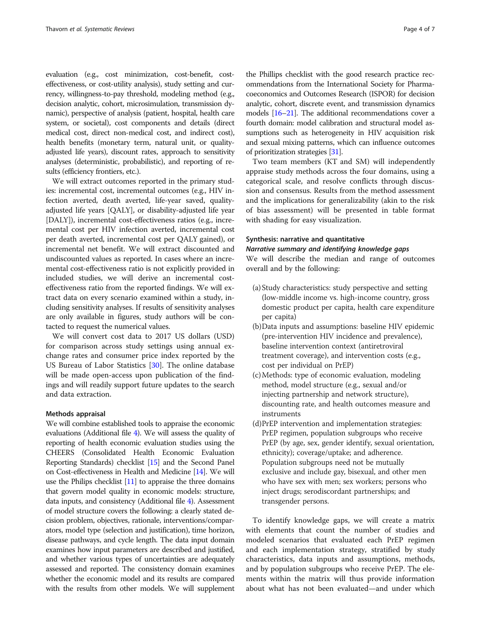evaluation (e.g., cost minimization, cost-benefit, costeffectiveness, or cost-utility analysis), study setting and currency, willingness-to-pay threshold, modeling method (e.g., decision analytic, cohort, microsimulation, transmission dynamic), perspective of analysis (patient, hospital, health care system, or societal), cost components and details (direct medical cost, direct non-medical cost, and indirect cost), health benefits (monetary term, natural unit, or qualityadjusted life years), discount rates, approach to sensitivity analyses (deterministic, probabilistic), and reporting of results (efficiency frontiers, etc.).

We will extract outcomes reported in the primary studies: incremental cost, incremental outcomes (e.g., HIV infection averted, death averted, life-year saved, qualityadjusted life years [QALY], or disability-adjusted life year [DALY]), incremental cost-effectiveness ratios (e.g., incremental cost per HIV infection averted, incremental cost per death averted, incremental cost per QALY gained), or incremental net benefit. We will extract discounted and undiscounted values as reported. In cases where an incremental cost-effectiveness ratio is not explicitly provided in included studies, we will derive an incremental costeffectiveness ratio from the reported findings. We will extract data on every scenario examined within a study, including sensitivity analyses. If results of sensitivity analyses are only available in figures, study authors will be contacted to request the numerical values.

We will convert cost data to 2017 US dollars (USD) for comparison across study settings using annual exchange rates and consumer price index reported by the US Bureau of Labor Statistics [[30](#page-6-0)]. The online database will be made open-access upon publication of the findings and will readily support future updates to the search and data extraction.

## Methods appraisal

We will combine established tools to appraise the economic evaluations (Additional file [4](#page-5-0)). We will assess the quality of reporting of health economic evaluation studies using the CHEERS (Consolidated Health Economic Evaluation Reporting Standards) checklist [\[15\]](#page-6-0) and the Second Panel on Cost-effectiveness in Health and Medicine [\[14\]](#page-6-0). We will use the Philips checklist [\[11\]](#page-6-0) to appraise the three domains that govern model quality in economic models: structure, data inputs, and consistency (Additional file [4\)](#page-5-0). Assessment of model structure covers the following: a clearly stated decision problem, objectives, rationale, interventions/comparators, model type (selection and justification), time horizon, disease pathways, and cycle length. The data input domain examines how input parameters are described and justified, and whether various types of uncertainties are adequately assessed and reported. The consistency domain examines whether the economic model and its results are compared with the results from other models. We will supplement

the Phillips checklist with the good research practice recommendations from the International Society for Pharmacoeconomics and Outcomes Research (ISPOR) for decision analytic, cohort, discrete event, and transmission dynamics models [[16](#page-6-0)–[21](#page-6-0)]. The additional recommendations cover a fourth domain: model calibration and structural model assumptions such as heterogeneity in HIV acquisition risk and sexual mixing patterns, which can influence outcomes of prioritization strategies [\[31\]](#page-6-0).

Two team members (KT and SM) will independently appraise study methods across the four domains, using a categorical scale, and resolve conflicts through discussion and consensus. Results from the method assessment and the implications for generalizability (akin to the risk of bias assessment) will be presented in table format with shading for easy visualization.

# Synthesis: narrative and quantitative

Narrative summary and identifying knowledge gaps We will describe the median and range of outcomes overall and by the following:

- (a) Study characteristics: study perspective and setting (low-middle income vs. high-income country, gross domestic product per capita, health care expenditure per capita)
- (b)Data inputs and assumptions: baseline HIV epidemic (pre-intervention HIV incidence and prevalence), baseline intervention context (antiretroviral treatment coverage), and intervention costs (e.g., cost per individual on PrEP)
- (c)Methods: type of economic evaluation, modeling method, model structure (e.g., sexual and/or injecting partnership and network structure), discounting rate, and health outcomes measure and instruments
- (d)PrEP intervention and implementation strategies: PrEP regimen, population subgroups who receive PrEP (by age, sex, gender identify, sexual orientation, ethnicity); coverage/uptake; and adherence. Population subgroups need not be mutually exclusive and include gay, bisexual, and other men who have sex with men; sex workers; persons who inject drugs; serodiscordant partnerships; and transgender persons.

To identify knowledge gaps, we will create a matrix with elements that count the number of studies and modeled scenarios that evaluated each PrEP regimen and each implementation strategy, stratified by study characteristics, data inputs and assumptions, methods, and by population subgroups who receive PrEP. The elements within the matrix will thus provide information about what has not been evaluated—and under which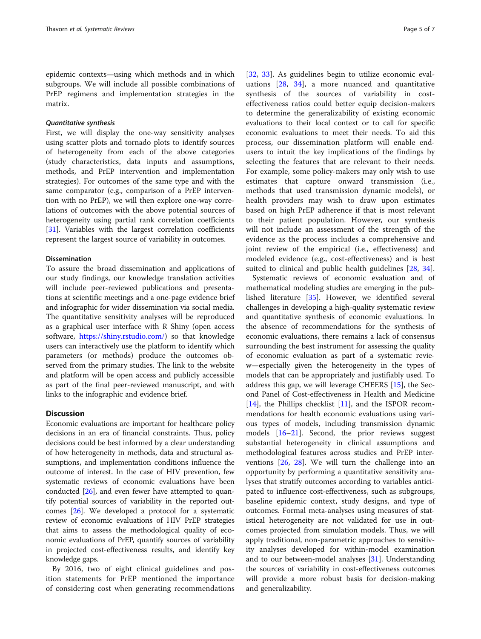epidemic contexts—using which methods and in which subgroups. We will include all possible combinations of PrEP regimens and implementation strategies in the matrix.

## Quantitative synthesis

First, we will display the one-way sensitivity analyses using scatter plots and tornado plots to identify sources of heterogeneity from each of the above categories (study characteristics, data inputs and assumptions, methods, and PrEP intervention and implementation strategies). For outcomes of the same type and with the same comparator (e.g., comparison of a PrEP intervention with no PrEP), we will then explore one-way correlations of outcomes with the above potential sources of heterogeneity using partial rank correlation coefficients [[31\]](#page-6-0). Variables with the largest correlation coefficients represent the largest source of variability in outcomes.

## **Dissemination**

To assure the broad dissemination and applications of our study findings, our knowledge translation activities will include peer-reviewed publications and presentations at scientific meetings and a one-page evidence brief and infographic for wider dissemination via social media. The quantitative sensitivity analyses will be reproduced as a graphical user interface with R Shiny (open access software, [https://shiny.rstudio.com/\)](https://shiny.rstudio.com/) so that knowledge users can interactively use the platform to identify which parameters (or methods) produce the outcomes observed from the primary studies. The link to the website and platform will be open access and publicly accessible as part of the final peer-reviewed manuscript, and with links to the infographic and evidence brief.

## **Discussion**

Economic evaluations are important for healthcare policy decisions in an era of financial constraints. Thus, policy decisions could be best informed by a clear understanding of how heterogeneity in methods, data and structural assumptions, and implementation conditions influence the outcome of interest. In the case of HIV prevention, few systematic reviews of economic evaluations have been conducted [\[26\]](#page-6-0), and even fewer have attempted to quantify potential sources of variability in the reported outcomes [\[26\]](#page-6-0). We developed a protocol for a systematic review of economic evaluations of HIV PrEP strategies that aims to assess the methodological quality of economic evaluations of PrEP, quantify sources of variability in projected cost-effectiveness results, and identify key knowledge gaps.

By 2016, two of eight clinical guidelines and position statements for PrEP mentioned the importance of considering cost when generating recommendations

[[32,](#page-6-0) [33](#page-6-0)]. As guidelines begin to utilize economic evaluations [[28](#page-6-0), [34\]](#page-6-0), a more nuanced and quantitative synthesis of the sources of variability in costeffectiveness ratios could better equip decision-makers to determine the generalizability of existing economic evaluations to their local context or to call for specific economic evaluations to meet their needs. To aid this process, our dissemination platform will enable endusers to intuit the key implications of the findings by selecting the features that are relevant to their needs. For example, some policy-makers may only wish to use estimates that capture onward transmission (i.e., methods that used transmission dynamic models), or health providers may wish to draw upon estimates based on high PrEP adherence if that is most relevant to their patient population. However, our synthesis will not include an assessment of the strength of the evidence as the process includes a comprehensive and joint review of the empirical (i.e., effectiveness) and modeled evidence (e.g., cost-effectiveness) and is best suited to clinical and public health guidelines [[28,](#page-6-0) [34](#page-6-0)].

Systematic reviews of economic evaluation and of mathematical modeling studies are emerging in the published literature [\[35\]](#page-6-0). However, we identified several challenges in developing a high-quality systematic review and quantitative synthesis of economic evaluations. In the absence of recommendations for the synthesis of economic evaluations, there remains a lack of consensus surrounding the best instrument for assessing the quality of economic evaluation as part of a systematic review—especially given the heterogeneity in the types of models that can be appropriately and justifiably used. To address this gap, we will leverage CHEERS [[15\]](#page-6-0), the Second Panel of Cost-effectiveness in Health and Medicine [[14\]](#page-6-0), the Phillips checklist [[11](#page-6-0)], and the ISPOR recommendations for health economic evaluations using various types of models, including transmission dynamic models [[16](#page-6-0)–[21](#page-6-0)]. Second, the prior reviews suggest substantial heterogeneity in clinical assumptions and methodological features across studies and PrEP interventions [\[26](#page-6-0), [28](#page-6-0)]. We will turn the challenge into an opportunity by performing a quantitative sensitivity analyses that stratify outcomes according to variables anticipated to influence cost-effectiveness, such as subgroups, baseline epidemic context, study designs, and type of outcomes. Formal meta-analyses using measures of statistical heterogeneity are not validated for use in outcomes projected from simulation models. Thus, we will apply traditional, non-parametric approaches to sensitivity analyses developed for within-model examination and to our between-model analyses [\[31](#page-6-0)]. Understanding the sources of variability in cost-effectiveness outcomes will provide a more robust basis for decision-making and generalizability.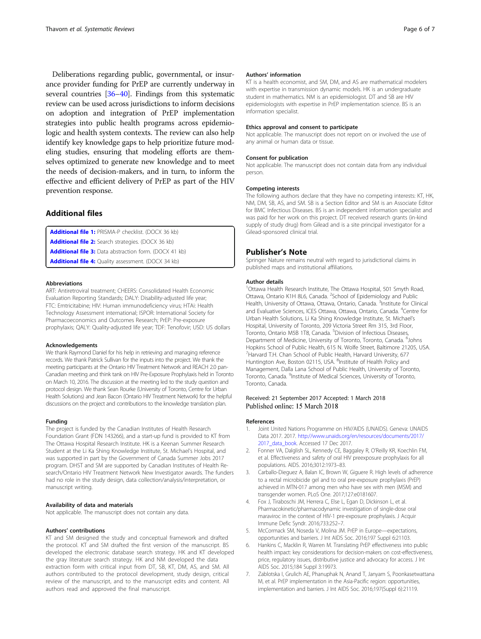<span id="page-5-0"></span>Deliberations regarding public, governmental, or insurance provider funding for PrEP are currently underway in several countries [\[36](#page-6-0)–[40](#page-6-0)]. Findings from this systematic review can be used across jurisdictions to inform decisions on adoption and integration of PrEP implementation strategies into public health programs across epidemiologic and health system contexts. The review can also help identify key knowledge gaps to help prioritize future modeling studies, ensuring that modeling efforts are themselves optimized to generate new knowledge and to meet the needs of decision-makers, and in turn, to inform the effective and efficient delivery of PrEP as part of the HIV prevention response.

## Additional files

[Additional file 1:](https://doi.org/10.1186/s13643-018-0710-0) PRISMA-P checklist. (DOCX 36 kb) [Additional file 2:](https://doi.org/10.1186/s13643-018-0710-0) Search strategies. (DOCX 36 kb) [Additional file 3:](https://doi.org/10.1186/s13643-018-0710-0) Data abstraction form. (DOCX 41 kb) [Additional file 4:](https://doi.org/10.1186/s13643-018-0710-0) Quality assessment. (DOCX 34 kb)

#### Abbreviations

ART: Antiretroviral treatment; CHEERS: Consolidated Health Economic Evaluation Reporting Standards; DALY: Disability-adjusted life year; FTC: Emtricitabine; HIV: Human immunodeficiency virus; HTAi: Health Technology Assessment international; ISPOR: International Society for Pharmacoeconomics and Outcomes Research; PrEP: Pre-exposure prophylaxis; QALY: Quality-adjusted life year; TDF: Tenofovir; USD: US dollars

#### Acknowledgements

We thank Raymond Daniel for his help in retrieving and managing reference records. We thank Patrick Sullivan for the inputs into the project. We thank the meeting participants at the Ontario HIV Treatment Network and REACH 2.0 pan-Canadian meeting and think tank on HIV Pre-Exposure Prophylaxis held in Toronto on March 10, 2016. The discussion at the meeting led to the study question and protocol design. We thank Sean Rourke (University of Toronto, Centre for Urban Health Solutions) and Jean Bacon (Ontario HIV Treatment Network) for the helpful discussions on the project and contributions to the knowledge translation plan.

#### Funding

The project is funded by the Canadian Institutes of Health Research Foundation Grant (FDN 143266), and a start-up fund is provided to KT from The Ottawa Hospital Research Institute. HK is a Keenan Summer Research Student at the Li Ka Shing Knowledge Institute, St. Michael's Hospital, and was supported in part by the Government of Canada Summer Jobs 2017 program. DHST and SM are supported by Canadian Institutes of Health Research/Ontario HIV Treatment Network New Investigator awards. The funders had no role in the study design, data collection/analysis/interpretation, or manuscript writing.

## Availability of data and materials

Not applicable. The manuscript does not contain any data.

## Authors' contributions

KT and SM designed the study and conceptual framework and drafted the protocol. KT and SM drafted the first version of the manuscript. BS developed the electronic database search strategy. HK and KT developed the gray literature search strategy. HK and NM developed the data extraction form with critical input from DT, SB, KT, DM, AS, and SM. All authors contributed to the protocol development, study design, critical review of the manuscript, and to the manuscript edits and content. All authors read and approved the final manuscript.

## Authors' information

KT is a health economist, and SM, DM, and AS are mathematical modelers with expertise in transmission dynamic models. HK is an undergraduate student in mathematics. NM is an epidemiologist. DT and SB are HIV epidemiologists with expertise in PrEP implementation science. BS is an information specialist.

## Ethics approval and consent to participate

Not applicable. The manuscript does not report on or involved the use of any animal or human data or tissue.

## Consent for publication

Not applicable. The manuscript does not contain data from any individual person.

#### Competing interests

The following authors declare that they have no competing interests: KT, HK, NM, DM, SB, AS, and SM. SB is a Section Editor and SM is an Associate Editor for BMC Infectious Diseases. BS is an independent information specialist and was paid for her work on this project. DT received research grants (in-kind supply of study drug) from Gilead and is a site principal investigator for a Gilead-sponsored clinical trial.

#### Publisher's Note

Springer Nature remains neutral with regard to jurisdictional claims in published maps and institutional affiliations.

#### Author details

<sup>1</sup>Ottawa Health Research Institute, The Ottawa Hospital, 501 Smyth Road, Ottawa, Ontario K1H 8L6, Canada. <sup>2</sup>School of Epidemiology and Public Health, University of Ottawa, Ottawa, Ontario, Canada. <sup>3</sup>Institute for Clinical and Evaluative Sciences, ICES Ottawa, Ottawa, Ontario, Canada. <sup>4</sup>Centre for Urban Health Solutions, Li Ka Shing Knowledge Institute, St. Michael's Hospital, University of Toronto, 209 Victoria Street Rm 315, 3rd Floor, Toronto, Ontario M5B 1T8, Canada. <sup>5</sup>Division of Infectious Diseases, Department of Medicine, University of Toronto, Toronto, Canada. <sup>6</sup>Johns Hopkins School of Public Health, 615 N. Wolfe Street, Baltimore 21205, USA. <sup>7</sup> Harvard T.H. Chan School of Public Health, Harvard University, 677 Huntington Ave, Boston 02115, USA. <sup>8</sup>Institute of Health Policy and Management, Dalla Lana School of Public Health, University of Toronto, Toronto, Canada. <sup>9</sup>Institute of Medical Sciences, University of Toronto Toronto, Canada.

## Received: 21 September 2017 Accepted: 1 March 2018 Published online: 15 March 2018

#### References

- 1. Joint United Nations Programme on HIV/AIDS (UNAIDS). Geneva: UNAIDS Data 2017. 2017. [http://www.unaids.org/en/resources/documents/2017/](http://www.unaids.org/en/resources/documents/2017/2017_data_book) 2017 data book. Accessed 17 Dec 2017.
- 2. Fonner VA, Dalglish SL, Kennedy CE, Baggaley R, O'Reilly KR, Koechlin FM, et al. Effectiveness and safety of oral HIV preexposure prophylaxis for all populations. AIDS. 2016;3012:1973–83.
- 3. Carballo-Dieguez A, Balan IC, Brown W, Giguere R. High levels of adherence to a rectal microbicide gel and to oral pre-exposure prophylaxis (PrEP) achieved in MTN-017 among men who have sex with men (MSM) and transgender women. PLoS One. 2017;127:e0181607.
- 4. Fox J, Tiraboschi JM, Herrera C, Else L, Egan D, Dickinson L, et al. Pharmacokinetic/pharmacodynamic investigation of single-dose oral maraviroc in the context of HIV-1 pre-exposure prophylaxis. J Acquir Immune Defic Syndr. 2016;733:252–7.
- 5. McCormack SM, Noseda V, Molina JM. PrEP in Europe—expectations, opportunities and barriers. J Int AIDS Soc. 2016;197 Suppl 6:21103.
- 6. Hankins C, Macklin R, Warren M. Translating PrEP effectiveness into public health impact: key considerations for decision-makers on cost-effectiveness, price, regulatory issues, distributive justice and advocacy for access. J Int AIDS Soc. 2015;184 Suppl 3:19973.
- 7. Zablotska I, Grulich AE, Phanuphak N, Anand T, Janyam S, Poonkasetwattana M, et al. PrEP implementation in the Asia-Pacific region: opportunities, implementation and barriers. J Int AIDS Soc. 2016;197(Suppl 6):21119.